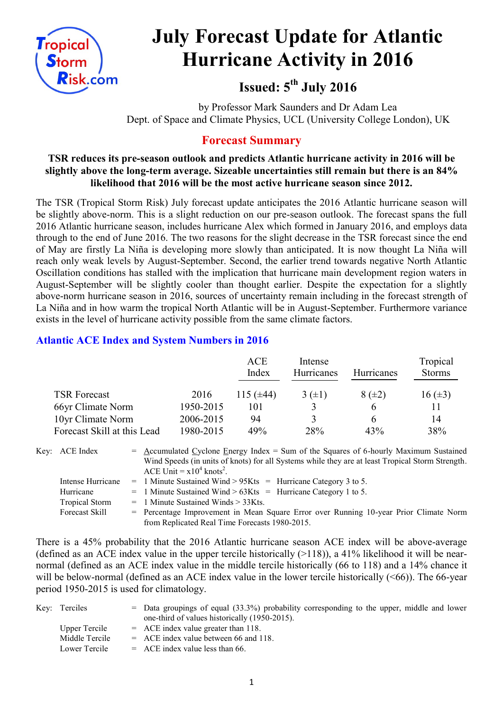

# **July Forecast Update for Atlantic Hurricane Activity in 2016**

**Issued: 5 th July 2016**

by Professor Mark Saunders and Dr Adam Lea Dept. of Space and Climate Physics, UCL (University College London), UK

# **Forecast Summary**

# **TSR reduces its pre-season outlook and predicts Atlantic hurricane activity in 2016 will be slightly above the long-term average. Sizeable uncertainties still remain but there is an 84% likelihood that 2016 will be the most active hurricane season since 2012.**

The TSR (Tropical Storm Risk) July forecast update anticipates the 2016 Atlantic hurricane season will be slightly above-norm. This is a slight reduction on our pre-season outlook. The forecast spans the full 2016 Atlantic hurricane season, includes hurricane Alex which formed in January 2016, and employs data through to the end of June 2016. The two reasons for the slight decrease in the TSR forecast since the end of May are firstly La Niña is developing more slowly than anticipated. It is now thought La Niña will reach only weak levels by August-September. Second, the earlier trend towards negative North Atlantic Oscillation conditions has stalled with the implication that hurricane main development region waters in August-September will be slightly cooler than thought earlier. Despite the expectation for a slightly above-norm hurricane season in 2016, sources of uncertainty remain including in the forecast strength of La Niña and in how warm the tropical North Atlantic will be in August-September. Furthermore variance exists in the level of hurricane activity possible from the same climate factors.

# **Atlantic ACE Index and System Numbers in 2016**

|                             |           | <b>ACE</b><br>Index | Intense<br>Hurricanes | <b>Hurricanes</b> | Tropical<br><b>Storms</b> |
|-----------------------------|-----------|---------------------|-----------------------|-------------------|---------------------------|
| <b>TSR Forecast</b>         | 2016      | 115 $(\pm 44)$      | $3(\pm 1)$            | $8(\pm 2)$        | $16 (\pm 3)$              |
| 66yr Climate Norm           | 1950-2015 | 101                 |                       | 6                 |                           |
| 10yr Climate Norm           | 2006-2015 | 94                  | 3                     | h                 | 14                        |
| Forecast Skill at this Lead | 1980-2015 | 49%                 | 28%                   | 43%               | 38%                       |

- Key: ACE Index  $=$  Accumulated Cyclone Energy Index = Sum of the Squares of 6-hourly Maximum Sustained Wind Speeds (in units of knots) for all Systems while they are at least Tropical Storm Strength. ACE Unit =  $x10^4$  knots<sup>2</sup>.
	- Intense Hurricane = 1 Minute Sustained Wind > 95Kts = Hurricane Category 3 to 5.
	- Hurricane  $= 1$  Minute Sustained Wind >  $63Kts =$  Hurricane Category 1 to 5.
	- Tropical Storm  $= 1$  Minute Sustained Winds  $> 33K$ ts.
	- Forecast Skill = Percentage Improvement in Mean Square Error over Running 10-year Prior Climate Norm from Replicated Real Time Forecasts 1980-2015.

There is a 45% probability that the 2016 Atlantic hurricane season ACE index will be above-average (defined as an ACE index value in the upper tercile historically  $(>118)$ ), a 41% likelihood it will be nearnormal (defined as an ACE index value in the middle tercile historically (66 to 118) and a 14% chance it will be below-normal (defined as an ACE index value in the lower tercile historically (<66)). The 66-year period 1950-2015 is used for climatology.

| Key: Terciles  | $=$ Data groupings of equal (33.3%) probability corresponding to the upper, middle and lower |
|----------------|----------------------------------------------------------------------------------------------|
|                | one-third of values historically (1950-2015).                                                |
| Upper Tercile  | $=$ ACE index value greater than 118.                                                        |
| Middle Tercile | $=$ ACE index value between 66 and 118.                                                      |
| Lower Tercile  | $=$ ACE index value less than 66.                                                            |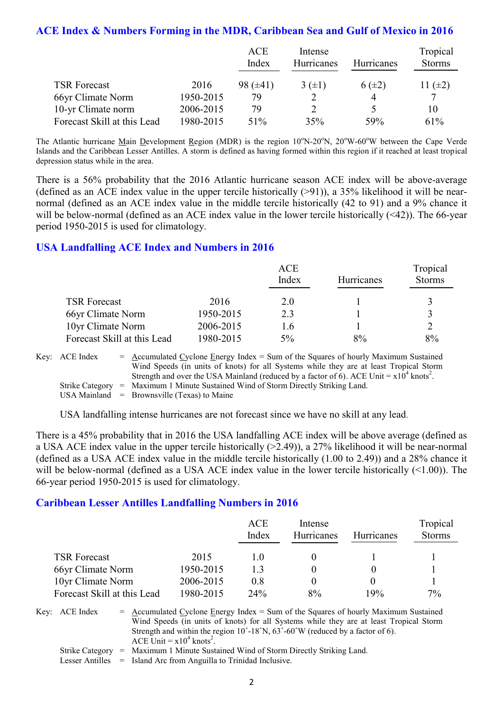# **ACE Index & Numbers Forming in the MDR, Caribbean Sea and Gulf of Mexico in 2016**

|                             |           | ACE           | Intense    |                   | Tropical      |
|-----------------------------|-----------|---------------|------------|-------------------|---------------|
|                             |           | Index         | Hurricanes | <b>Hurricanes</b> | <b>Storms</b> |
|                             |           |               |            |                   |               |
| <b>TSR Forecast</b>         | 2016      | $98 (\pm 41)$ | $3(\pm 1)$ | $6(\pm 2)$        | 11 $(\pm 2)$  |
| 66yr Climate Norm           | 1950-2015 | 79            |            |                   |               |
| 10-yr Climate norm          | 2006-2015 | 79            |            |                   | 10            |
| Forecast Skill at this Lead | 1980-2015 | 51%           | 35%        | 59%               | 61%           |

The Atlantic hurricane Main Development Region (MDR) is the region  $10^{\circ}$ N-20<sup>o</sup>N,  $20^{\circ}$ W-60<sup>o</sup>W between the Cape Verde Islands and the Caribbean Lesser Antilles. A storm is defined as having formed within this region if it reached at least tropical depression status while in the area.

There is a 56% probability that the 2016 Atlantic hurricane season ACE index will be above-average (defined as an ACE index value in the upper tercile historically  $(>91)$ ), a 35% likelihood it will be nearnormal (defined as an ACE index value in the middle tercile historically (42 to 91) and a 9% chance it will be below-normal (defined as an ACE index value in the lower tercile historically (<42)). The 66-year period 1950-2015 is used for climatology.

# **USA Landfalling ACE Index and Numbers in 2016**

|                             |           | <b>ACE</b><br>Index | Hurricanes | Tropical<br><b>Storms</b> |
|-----------------------------|-----------|---------------------|------------|---------------------------|
| <b>TSR Forecast</b>         | 2016      | 2.0                 |            | ζ                         |
| 66yr Climate Norm           | 1950-2015 | 2.3                 |            | $\mathbf 3$               |
| 10yr Climate Norm           | 2006-2015 | 1.6                 |            |                           |
| Forecast Skill at this Lead | 1980-2015 | $5\%$               | 8%         | 8%                        |

Key:  $ACE Index = Accuracy Index =$  Accumulated Cyclone Energy Index = Sum of the Squares of hourly Maximum Sustained Wind Speeds (in units of knots) for all Systems while they are at least Tropical Storm Strength and over the USA Mainland (reduced by a factor of 6). ACE Unit =  $x10^4$  knots<sup>2</sup>. Strike Category = Maximum 1 Minute Sustained Wind of Storm Directly Striking Land. USA Mainland  $=$  Brownsville (Texas) to Maine

USA landfalling intense hurricanes are not forecast since we have no skill at any lead.

There is a 45% probability that in 2016 the USA landfalling ACE index will be above average (defined as a USA ACE index value in the upper tercile historically (>2.49)), a 27% likelihood it will be near-normal (defined as a USA ACE index value in the middle tercile historically (1.00 to 2.49)) and a 28% chance it will be below-normal (defined as a USA ACE index value in the lower tercile historically (<1.00)). The 66-year period 1950-2015 is used for climatology.

## **Caribbean Lesser Antilles Landfalling Numbers in 2016**

|                             |           | ACE<br>Index | Intense<br>Hurricanes | Hurricanes | Tropical<br><b>Storms</b> |
|-----------------------------|-----------|--------------|-----------------------|------------|---------------------------|
| <b>TSR Forecast</b>         | 2015      | 10           |                       |            |                           |
| 66yr Climate Norm           | 1950-2015 | 13           |                       |            |                           |
| 10yr Climate Norm           | 2006-2015 | 0.8          |                       |            |                           |
| Forecast Skill at this Lead | 1980-2015 | 24%          | 8%                    | 19%        | 7%                        |

Key: ACE Index =  $\Delta$ ccumulated Cyclone Energy Index = Sum of the Squares of hourly Maximum Sustained Wind Speeds (in units of knots) for all Systems while they are at least Tropical Storm Strength and within the region 10˚-18˚N, 63˚-60˚W (reduced by a factor of 6). ACE Unit =  $x10^4$  knots<sup>2</sup>. Strike Category = Maximum 1 Minute Sustained Wind of Storm Directly Striking Land.

Lesser Antilles = Island Arc from Anguilla to Trinidad Inclusive.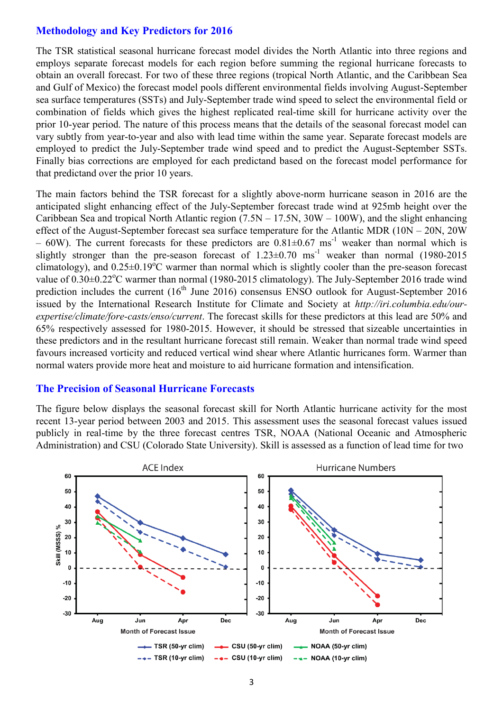# **Methodology and Key Predictors for 2016**

The TSR statistical seasonal hurricane forecast model divides the North Atlantic into three regions and employs separate forecast models for each region before summing the regional hurricane forecasts to obtain an overall forecast. For two of these three regions (tropical North Atlantic, and the Caribbean Sea and Gulf of Mexico) the forecast model pools different environmental fields involving August-September sea surface temperatures (SSTs) and July-September trade wind speed to select the environmental field or combination of fields which gives the highest replicated real-time skill for hurricane activity over the prior 10-year period. The nature of this process means that the details of the seasonal forecast model can vary subtly from year-to-year and also with lead time within the same year. Separate forecast models are employed to predict the July-September trade wind speed and to predict the August-September SSTs. Finally bias corrections are employed for each predictand based on the forecast model performance for that predictand over the prior 10 years.

The main factors behind the TSR forecast for a slightly above-norm hurricane season in 2016 are the anticipated slight enhancing effect of the July-September forecast trade wind at 925mb height over the Caribbean Sea and tropical North Atlantic region  $(7.5N - 17.5N, 30W - 100W)$ , and the slight enhancing effect of the August-September forecast sea surface temperature for the Atlantic MDR (10N – 20N, 20W  $-$  60W). The current forecasts for these predictors are 0.81 $\pm$ 0.67 ms<sup>-1</sup> weaker than normal which is slightly stronger than the pre-season forecast of  $1.23\pm0.70$  ms<sup>-1</sup> weaker than normal (1980-2015) climatology), and  $0.25\pm0.19^{\circ}$ C warmer than normal which is slightly cooler than the pre-season forecast value of  $0.30\pm0.22$ °C warmer than normal (1980-2015 climatology). The July-September 2016 trade wind prediction includes the current (16<sup>th</sup> June 2016) consensus ENSO outlook for August-September 2016 issued by the International Research Institute for Climate and Society at *http://iri.columbia.edu/ourexpertise/climate/fore-casts/enso/current*. The forecast skills for these predictors at this lead are 50% and 65% respectively assessed for 1980-2015. However, it should be stressed that sizeable uncertainties in these predictors and in the resultant hurricane forecast still remain. Weaker than normal trade wind speed favours increased vorticity and reduced vertical wind shear where Atlantic hurricanes form. Warmer than normal waters provide more heat and moisture to aid hurricane formation and intensification.

#### **The Precision of Seasonal Hurricane Forecasts**

The figure below displays the seasonal forecast skill for North Atlantic hurricane activity for the most recent 13-year period between 2003 and 2015. This assessment uses the seasonal forecast values issued publicly in real-time by the three forecast centres TSR, NOAA (National Oceanic and Atmospheric Administration) and CSU (Colorado State University). Skill is assessed as a function of lead time for two

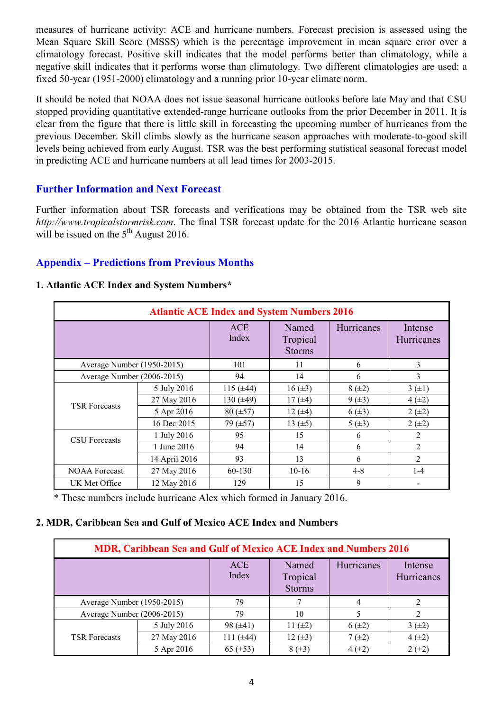measures of hurricane activity: ACE and hurricane numbers. Forecast precision is assessed using the Mean Square Skill Score (MSSS) which is the percentage improvement in mean square error over a climatology forecast. Positive skill indicates that the model performs better than climatology, while a negative skill indicates that it performs worse than climatology. Two different climatologies are used: a fixed 50-year (1951-2000) climatology and a running prior 10-year climate norm.

It should be noted that NOAA does not issue seasonal hurricane outlooks before late May and that CSU stopped providing quantitative extended-range hurricane outlooks from the prior December in 2011. It is clear from the figure that there is little skill in forecasting the upcoming number of hurricanes from the previous December. Skill climbs slowly as the hurricane season approaches with moderate-to-good skill levels being achieved from early August. TSR was the best performing statistical seasonal forecast model in predicting ACE and hurricane numbers at all lead times for 2003-2015.

# **Further Information and Next Forecast**

Further information about TSR forecasts and verifications may be obtained from the TSR web site *http://www.tropicalstormrisk.com*. The final TSR forecast update for the 2016 Atlantic hurricane season will be issued on the  $5<sup>th</sup>$  August 2016.

# **Appendix – Predictions from Previous Months**

#### **Atlantic ACE Index and System Numbers 2016** ACE Index Named Tropical Storms Hurricanes Intense Hurricanes Average Number (1950-2015) 101 11 6 3 Average Number (2006-2015) 94 14 6 3 TSR Forecasts 5 July 2016 115 ( $\pm$ 44) 16 ( $\pm$ 3) 8 ( $\pm$ 2) 3 ( $\pm$ 1) 27 May 2016 | 130 ( $\pm$ 49) | 17 ( $\pm$ 4) | 9 ( $\pm$ 3) | 4 ( $\pm$ 2) 5 Apr 2016 80 (±57) 12 (±4) 6 (±3) 2 (±2) 16 Dec 2015 79 ( $\pm$ 57) 13 ( $\pm$ 5) 5 ( $\pm$ 3) 2 ( $\pm$ 2) CSU Forecasts 1 July 2016 <sup>95</sup> <sup>15</sup> <sup>6</sup> <sup>2</sup> 1 June 2016 94 14 14 6 2 14 April 2016 93 13 6 2 NOAA Forecast 27 May 2016 60-130 10-16 4-8 1-4 UK Met Office 12 May 2016 129 15 9

## **1. Atlantic ACE Index and System Numbers\***

\* These numbers include hurricane Alex which formed in January 2016.

## **2. MDR, Caribbean Sea and Gulf of Mexico ACE Index and Numbers**

| <b>MDR, Caribbean Sea and Gulf of Mexico ACE Index and Numbers 2016</b> |             |                |                                    |            |                       |  |  |
|-------------------------------------------------------------------------|-------------|----------------|------------------------------------|------------|-----------------------|--|--|
|                                                                         |             | ACE<br>Index   | Named<br>Tropical<br><b>Storms</b> | Hurricanes | Intense<br>Hurricanes |  |  |
| Average Number (1950-2015)                                              |             | 79             |                                    |            | ∍                     |  |  |
| Average Number (2006-2015)                                              |             | 79             | 10                                 |            |                       |  |  |
|                                                                         | 5 July 2016 | 98 $(\pm 41)$  | 11 $(\pm 2)$                       | $6(\pm 2)$ | $3(\pm 2)$            |  |  |
| <b>TSR Forecasts</b>                                                    | 27 May 2016 | 111 $(\pm 44)$ | 12 $(\pm 3)$                       | $7(\pm 2)$ | $4(+2)$               |  |  |
|                                                                         | 5 Apr 2016  | 65 $(\pm 53)$  | $8(\pm 3)$                         | $4(\pm 2)$ | $2 (+2)$              |  |  |